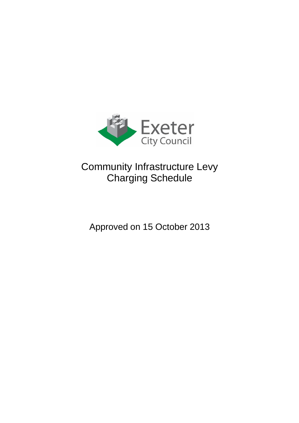

# Community Infrastructure Levy Charging Schedule

## Approved on 15 October 2013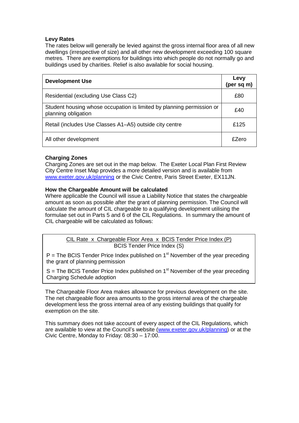#### **Levy Rates**

The rates below will generally be levied against the gross internal floor area of all new dwellings (irrespective of size) and all other new development exceeding 100 square metres. There are exemptions for buildings into which people do not normally go and buildings used by charities. Relief is also available for social housing.

| <b>Development Use</b>                                                                       | Levy<br>(per sq m) |
|----------------------------------------------------------------------------------------------|--------------------|
| Residential (excluding Use Class C2)                                                         | £80                |
| Student housing whose occupation is limited by planning permission or<br>planning obligation | £40                |
| Retail (includes Use Classes A1-A5) outside city centre                                      | £125               |
| All other development                                                                        | £Zero              |

#### **Charging Zones**

Charging Zones are set out in the map below. The Exeter Local Plan First Review City Centre Inset Map provides a more detailed version and is available from [www.exeter.gov.uk/planning](http://www.exeter.gov.uk/planning) or the Civic Centre, Paris Street Exeter, EX11JN.

#### **How the Chargeable Amount will be calculated**

Where applicable the Council will issue a Liability Notice that states the chargeable amount as soon as possible after the grant of planning permission. The Council will calculate the amount of CIL chargeable to a qualifying development utilising the formulae set out in Parts 5 and 6 of the CIL Regulations. In summary the amount of CIL chargeable will be calculated as follows:

> CIL Rate x Chargeable Floor Area x BCIS Tender Price Index (P) BCIS Tender Price Index (S)

 $P$  = The BCIS Tender Price Index published on 1<sup>st</sup> November of the year preceding the grant of planning permission

 $S$  = The BCIS Tender Price Index published on 1<sup>st</sup> November of the year preceding Charging Schedule adoption

The Chargeable Floor Area makes allowance for previous development on the site. The net chargeable floor area amounts to the gross internal area of the chargeable development less the gross internal area of any existing buildings that qualify for exemption on the site.

This summary does not take account of every aspect of the CIL Regulations, which are available to view at the Council's website [\(www.exeter.gov.uk/planning\)](http://www.exeter.gov.uk/planning) or at the Civic Centre, Monday to Friday: 08:30 – 17:00.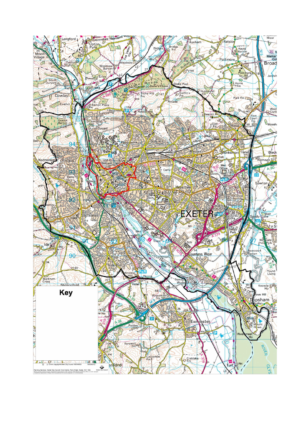